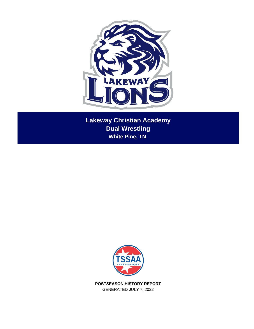

**Lakeway Christian Academy Dual Wrestling White Pine, TN** 



**POSTSEASON HISTORY REPORT** GENERATED JULY 7, 2022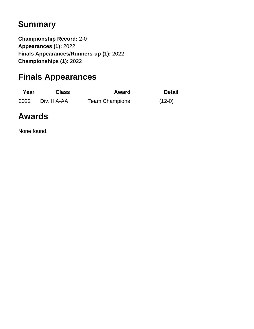# **Summary**

**Championship Record:** 2-0 **Appearances (1):** 2022 **Finals Appearances/Runners-up (1):** 2022 **Championships (1):** 2022

# **Finals Appearances**

| Year | <b>Class</b> | Award                 | <b>Detail</b> |
|------|--------------|-----------------------|---------------|
| 2022 | Div. II A-AA | <b>Team Champions</b> | $(12-0)$      |

## **Awards**

None found.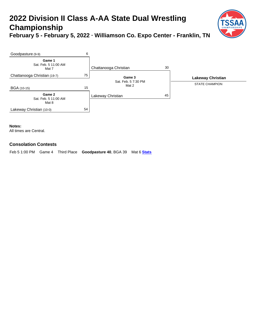## **2022 Division II Class A-AA State Dual Wrestling Championship February 5 - February 5, 2022 · Williamson Co. Expo Center - Franklin, TN**





**Notes:**

All times are Central.

#### **Consolation Contests**

Feb 5 1:00 PM Game 4 Third Place **Goodpasture 40**, BGA 39 Mat 6 **[Stats](http://www.champs.tssaa.org/event/results.cfm?id=113559)**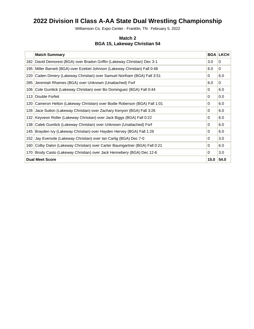## **2022 Division II Class A-AA State Dual Wrestling Championship**

Williamson Co. Expo Center - Franklin, TN · February 5, 2022

#### **Match 2 BGA 15, Lakeway Christian 54**

|                  | <b>Match Summary</b>                                                    |          | <b>BGA LKCH</b> |
|------------------|-------------------------------------------------------------------------|----------|-----------------|
| 182              | David Demorest (BGA) over Bradon Griffin (Lakeway Christian) Dec 3-1    | 3.0      | $\Omega$        |
| 195              | Miller Barnett (BGA) over Ezekiel Johnson (Lakeway Christian) Fall 0:48 | 6.0      | $\mathbf 0$     |
| 220              | Caden Dimery (Lakeway Christian) over Samuel Northam (BGA) Fall 3:51    | $\Omega$ | 6.0             |
| 285              | Jeremiah Rhames (BGA) over Unknown (Unattached) Forf                    | 6.0      | $\Omega$        |
| 106              | Cole Gumlick (Lakeway Christian) over Bo Dominguez (BGA) Fall 0:44      | 0        | 6.0             |
|                  | 113 Double Forfeit                                                      | $\Omega$ | 0.0             |
| 120              | Cameron Helton (Lakeway Christian) over Bodie Roberson (BGA) Fall 1:01  | 0        | 6.0             |
| 126              | Jace Sutton (Lakeway Christian) over Zachary Kenyon (BGA) Fall 3:26     | 0        | 6.0             |
| 132 <sub>1</sub> | Keyveon Roller (Lakeway Christian) over Jack Biggs (BGA) Fall 0:22      | $\Omega$ | 6.0             |
| 138              | Caleb Gumlick (Lakeway Christian) over Unknown (Unattached) Forf        | 0        | 6.0             |
| 145              | Brayden Ivy (Lakeway Christian) over Hayden Hervey (BGA) Fall 1:26      | $\Omega$ | 6.0             |
| 152              | Jay Eversole (Lakeway Christian) over Ian Carlig (BGA) Dec 7-0          | $\Omega$ | 3.0             |
| 160              | Colby Dalon (Lakeway Christian) over Carter Baumgartner (BGA) Fall 0:21 | 0        | 6.0             |
| 170              | Brody Casto (Lakeway Christian) over Jack Hennebery (BGA) Dec 12-6      | $\Omega$ | 3.0             |
|                  | <b>Dual Meet Score</b>                                                  | 15.0     | 54.0            |